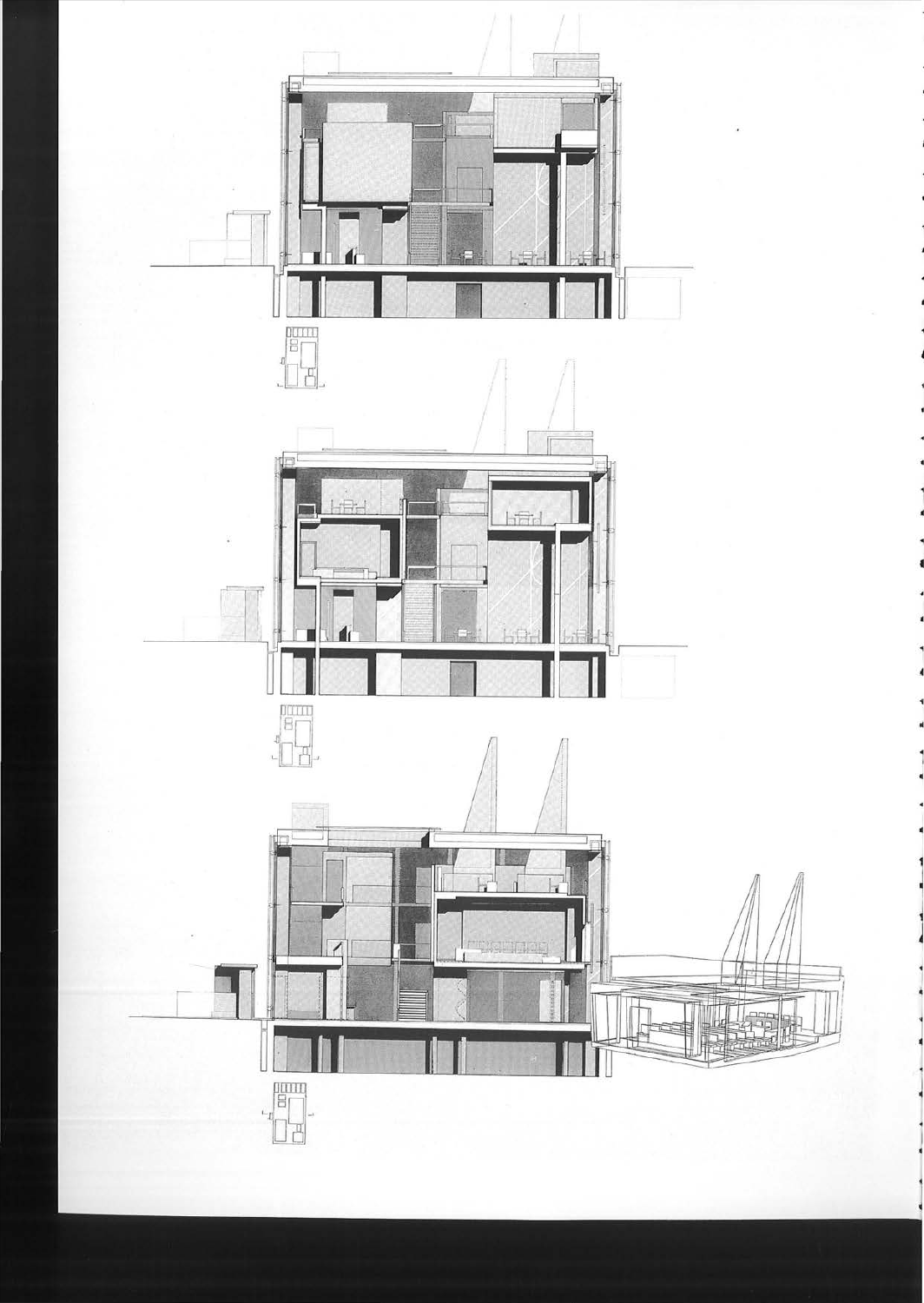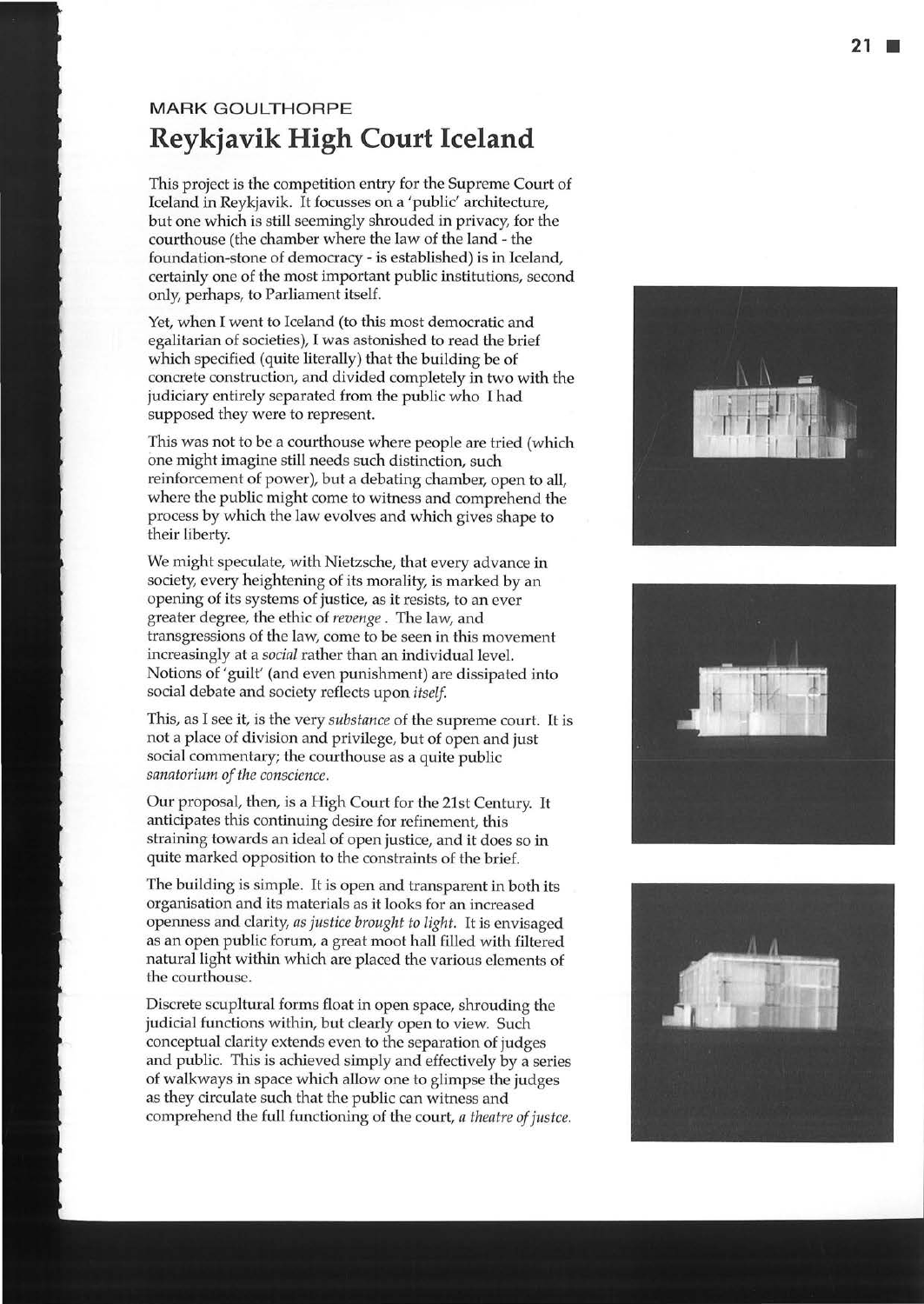## **MARK GOULTHORPE Reykjavik High Court Iceland**

This project is the competition entry for the Supreme Court of Iceland in Reykjavik. It focusses on a 'public' architecture, but one which is still seemingly shrouded in privacy, for the courthouse (the chamber where the law of the land - the foundation-stone of democracy - is established) is in Iceland, certainly one of the most important public institutions, second only, perhaps, to Parliament itself.

Yet, when I went to Iceland (to this most democratic and egalitarian of societies), I was astonished to read the brief which specified (quite literally) that the building be of concrete construction, and divided completely in two with the judiciary entirely separated from the public who I had supposed they were to represent.

This was not to be a courthouse where people are tried (which one might imagine still needs such distinction, such reinforcement of power), but a debating chamber, open to all, where the public might come to witness and comprehend the process by which the law evolves and which gives shape to their liberty.

We might speculate, with Nietzsche, that every advance in society, every heightening of its morality, is marked by an opening of its systems of justice, as it resists, to an ever greater degree, the ethic of *revenge* . The law, and transgressions of the law, come to be seen in this movement increasingly at a *social* rather than an individual level. Notions of 'guilt' (and even punishment) are dissipated into social debate and society reflects upon *itself* 

This, as I see it, is the very *substance* of the supreme court. It is not a place of division and privilege, but of open and just social commentary; the courthouse as a quite public *sanatorium of the conscience.* 

Our proposal, then, is a High Court for the 21st Century. It anticipates this continuing desire for refinement, this straining towards an ideal of open justice, and it does so in quite marked opposition to the constraints of the brief.

The building is simple. It is open and transparent in both its organisation and its materials as it looks for an increased openness and clarity, *as justice brought to light.* It is envisaged as an open public forum, a great moot hall filled with filtered natural light within which are placed the various elements of the courthouse.

Discrete scupltural forms float in open space, shrouding the judicial functions within, but clearly open to view. Such conceptual clarity extends even to the separation of judges and public. This is achieved simply and effectively by a series of walkways in space which allow one to glimpse the judges as they circulate such that the public can witness and comprehend the full functioning of the court, *a theatre of justce.* 





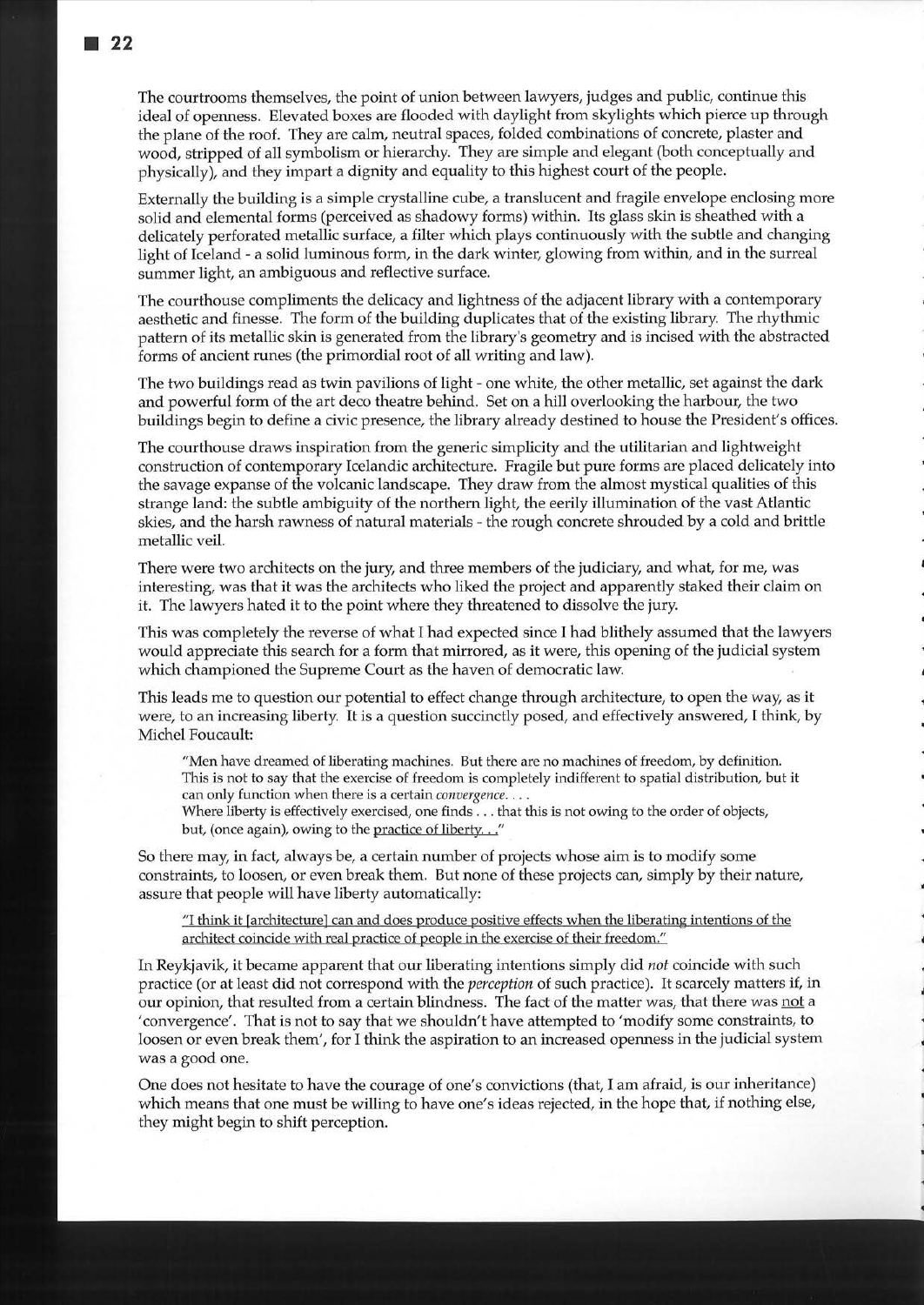The courtrooms themselves, the point of union between lawyers, judges and public, continue this ideal of openness. Elevated boxes are flooded with daylight from skylights which pierce up through the plane of the roof. They are calm, neutral spaces, folded combinations of concrete, plaster and wood, stripped of all symbolism or hierarchy. They are simple and elegant (both conceptually and physically), and they impart a dignity and equality to this highest court of the people.

Externally the building is a simple crystalline cube, a translucent and fragile envelope enclosing more solid and elemental forms (perceived as shadowy forms) within. Its glass skin is sheathed with a delicately perforated metallic surface, a filter which plays continuously with the subtle and changing light of Iceland - a solid luminous form, in the dark winter, glowing from within, and in the surreal summer light, an ambiguous and reflective surface.

The courthouse compliments the delicacy and lightness of the adjacent library with a contemporary aesthetic and finesse. The form of the building duplicates that of the existing library. The rhythmic pattern of its metallic skin is generated from the library's geometry and is incised with the abstracted forms of ancient runes (the primordial root of all writing and law).

The two buildings read as twin pavilions of light - one white, the other metallic, set against the dark and powerful form of the art deco theatre behind. Set on a hill overlooking the harbour, the two buildings begin to define a civic presence, the library already destined to house the President's offices.

The courthouse draws inspiration from the generic simplicity and the utilitarian and lightweight construction of contemporary Icelandic architecture. Fragile but pure forms are placed delicately into the savage expanse of the volcanic landscape. They draw from the almost mystical qualities of this strange land: the subtle ambiguity of the northern light, the eerily illumination of the vast Atlantic skies, and the harsh rawness of natural materials - the rough concrete shrouded by a cold and brittle metallic veil.

There were two architects on the jury, and three members of the judiciary, and what, for me, was interesting, was that it was the architects who liked the project and apparently staked their claim on it. The lawyers hated it to the point where they threatened to dissolve the jury.

This was completely the reverse of what I had expected since I had blithely assumed that the lawyers would appreciate this search for a form that mirrored, as it were, this opening of the judicial system which championed the Supreme Court as the haven of democratic law.

This leads me to question our potential to effect change through architecture, to open the way, as it were, to an increasing liberty. It is a question succinctly posed, and effectively answered, I think, by Michel Foucault:

"Men have dreamed of liberating machines. But there are no machines of freedom, by definition. This is not to say that the exercise of freedom is completely indifferent to spatial distribution, but it can only function when there is a certain *convergence .* ...

Where liberty is effectively exercised, one finds ... that this is not owing to the order of objects, but, (once again), owing to the practice of liberty..."

So there may, in fact, always be, a certain number of projects whose aim is to modify some constraints, to loosen, or even break them. But none of these projects can, simply by their nature, assure that people will have liberty automatically:

"I think it [architecture] can and does produce positive effects when the liberating intentions of the architect coincide with real practice of people in the exercise of their freedom."

In Reykjavik, it became apparent that our liberating intentions simply did *not* coincide with such practice (or at least did not correspond with the *perception* of such practice). It scarcely matters if, in our opinion, that resulted from a certain blindness. The fact of the matter was, that there was not a 'convergence'. That is not to say that we shouldn't have attempted to 'modify some constraints, to loosen or even break them', for I think the aspiration to an increased openness in the judicial system was a good one.

One does not hesitate to have the courage of one's convictions (that, I am afraid, is our inheritance) which means that one must be willing to have one's ideas rejected, in the hope that, if nothing else, they might begin to shift perception.